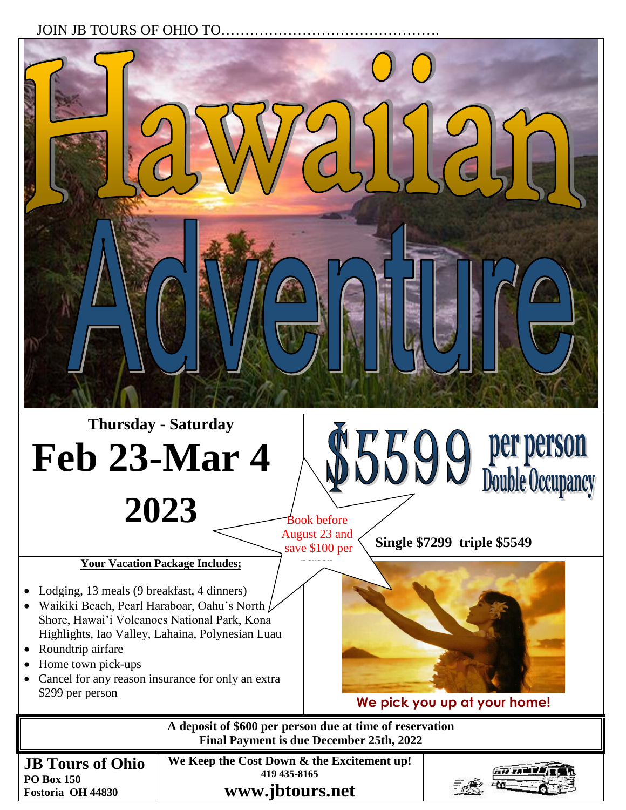## JOIN JB TOURS OF OHIO TO.



**www.jbtours.net**

**Fostoria OH 44830**